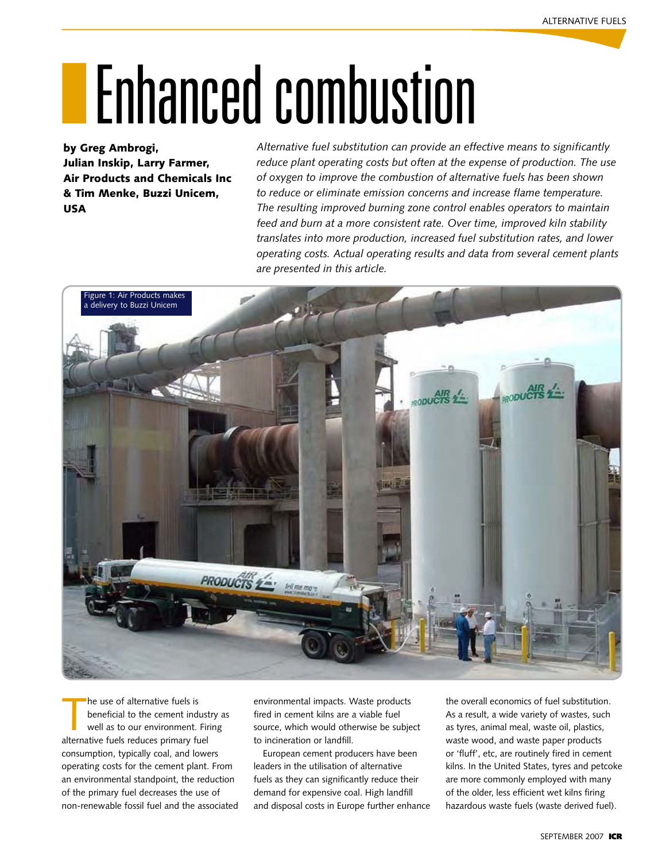# **IFF** Enhanced combustion

by Greg Ambrogi, Julian Inskip, Larry Farmer, Air Products and Chemicals Inc & Tim Menke, Buzzi Unicem, USA

*Alternative fuel substitution can provide an effective means to significantly reduce plant operating costs but often at the expense of production. The use of oxygen to improve the combustion of alternative fuels has been shown to reduce or eliminate emission concerns and increase flame temperature. The resulting improved burning zone control enables operators to maintain feed and burn at a more consistent rate. Over time, improved kiln stability translates into more production, increased fuel substitution rates, and lower operating costs. Actual operating results and data from several cement plants are presented in this article.*



he use of alternative fuels is<br>beneficial to the cement indust<br>well as to our environment. Firi<br>alternative fuels reduces primary fuel he use of alternative fuels is beneficial to the cement industry as well as to our environment. Firing consumption, typically coal, and lowers operating costs for the cement plant. From an environmental standpoint, the reduction of the primary fuel decreases the use of non-renewable fossil fuel and the associated environmental impacts. Waste products fired in cement kilns are a viable fuel source, which would otherwise be subject to incineration or landfill.

European cement producers have been leaders in the utilisation of alternative fuels as they can significantly reduce their demand for expensive coal. High landfill and disposal costs in Europe further enhance

the overall economics of fuel substitution. As a result, a wide variety of wastes, such as tyres, animal meal, waste oil, plastics, waste wood, and waste paper products or 'fluff', etc, are routinely fired in cement kilns. In the United States, tyres and petcoke are more commonly employed with many of the older, less efficient wet kilns firing hazardous waste fuels (waste derived fuel).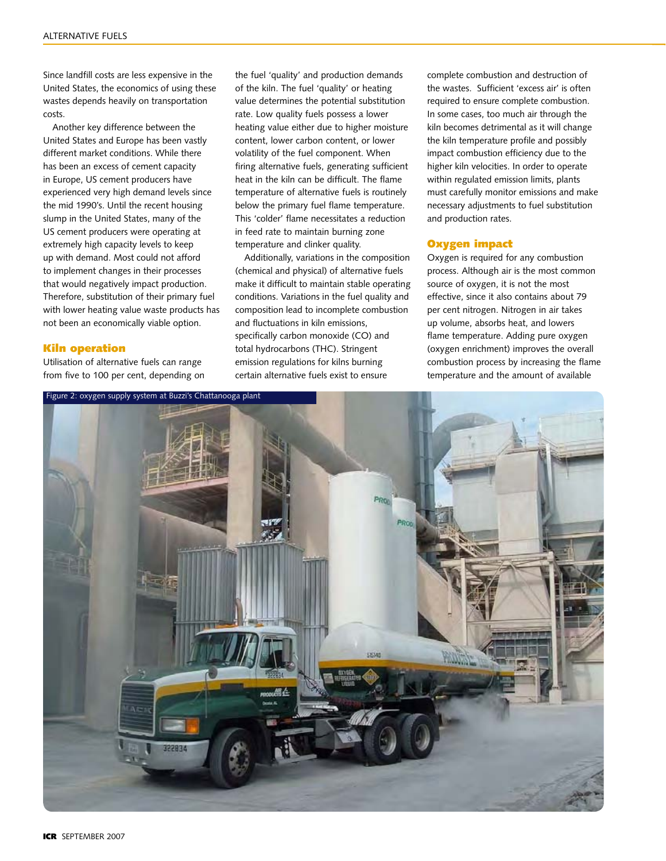Since landfill costs are less expensive in the United States, the economics of using these wastes depends heavily on transportation costs.

Another key difference between the United States and Europe has been vastly different market conditions. While there has been an excess of cement capacity in Europe, US cement producers have experienced very high demand levels since the mid 1990's. Until the recent housing slump in the United States, many of the US cement producers were operating at extremely high capacity levels to keep up with demand. Most could not afford to implement changes in their processes that would negatively impact production. Therefore, substitution of their primary fuel with lower heating value waste products has not been an economically viable option.

### Kiln operation

Utilisation of alternative fuels can range from five to 100 per cent, depending on the fuel 'quality' and production demands of the kiln. The fuel 'quality' or heating value determines the potential substitution rate. Low quality fuels possess a lower heating value either due to higher moisture content, lower carbon content, or lower volatility of the fuel component. When firing alternative fuels, generating sufficient heat in the kiln can be difficult. The flame temperature of alternative fuels is routinely below the primary fuel flame temperature. This 'colder' flame necessitates a reduction in feed rate to maintain burning zone temperature and clinker quality.

Additionally, variations in the composition (chemical and physical) of alternative fuels make it difficult to maintain stable operating conditions. Variations in the fuel quality and composition lead to incomplete combustion and fluctuations in kiln emissions, specifically carbon monoxide (CO) and total hydrocarbons (THC). Stringent emission regulations for kilns burning certain alternative fuels exist to ensure

complete combustion and destruction of the wastes. Sufficient 'excess air' is often required to ensure complete combustion. In some cases, too much air through the kiln becomes detrimental as it will change the kiln temperature profile and possibly impact combustion efficiency due to the higher kiln velocities. In order to operate within regulated emission limits, plants must carefully monitor emissions and make necessary adjustments to fuel substitution and production rates.

### Oxygen impact

Oxygen is required for any combustion process. Although air is the most common source of oxygen, it is not the most effective, since it also contains about 79 per cent nitrogen. Nitrogen in air takes up volume, absorbs heat, and lowers flame temperature. Adding pure oxygen (oxygen enrichment) improves the overall combustion process by increasing the flame temperature and the amount of available

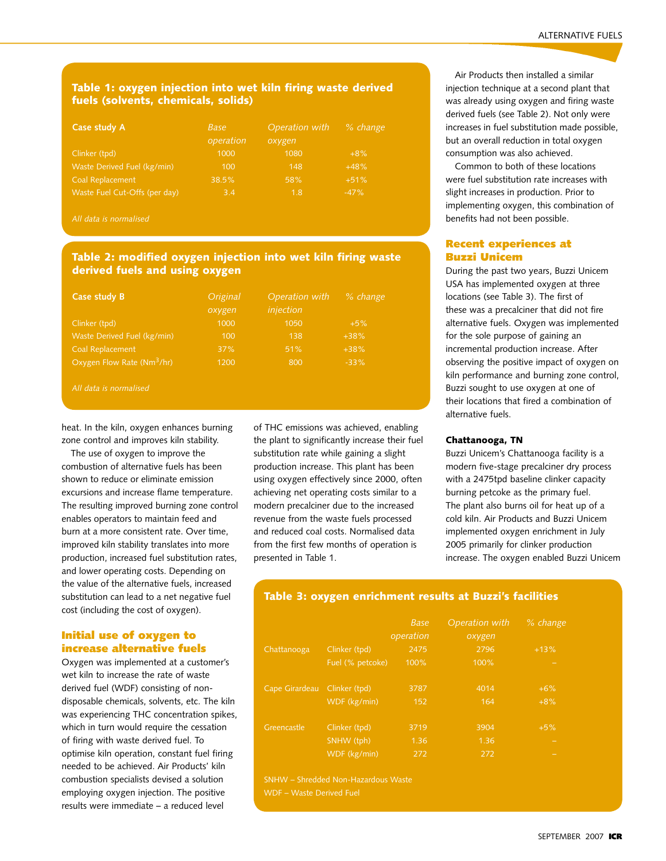### Table 1: oxygen injection into wet kiln firing waste derived fuels (solvents, chemicals, solids)

| Case study A                  | <b>Base</b><br>operation | Operation with<br>oxygen | % change |
|-------------------------------|--------------------------|--------------------------|----------|
| Clinker (tpd)                 | 1000                     | 1080                     | $+8%$    |
| Waste Derived Fuel (kg/min)   | 100                      | 148                      | $+48%$   |
| Coal Replacement              | 38.5%                    | 58%                      | $+51%$   |
| Waste Fuel Cut-Offs (per day) | 3.4                      | 1.8                      | $-47%$   |

*All data is normalised*

### Table 2: modified oxygen injection into wet kiln firing waste derived fuels and using oxygen

| Case study B                           | Original<br>oxygen | Operation with<br>injection | % change |
|----------------------------------------|--------------------|-----------------------------|----------|
| Clinker (tpd)                          | 1000               | 1050                        | $+5%$    |
| Waste Derived Fuel (kg/min)            | 100                | 138                         | $+38%$   |
| Coal Replacement                       | 37%                | 51%                         | $+38%$   |
| Oxygen Flow Rate (Nm <sup>3</sup> /hr) | 1200               | 800                         | $-33%$   |

*All data is normalised*

heat. In the kiln, oxygen enhances burning zone control and improves kiln stability.

The use of oxygen to improve the combustion of alternative fuels has been shown to reduce or eliminate emission excursions and increase flame temperature. The resulting improved burning zone control enables operators to maintain feed and burn at a more consistent rate. Over time, improved kiln stability translates into more production, increased fuel substitution rates, and lower operating costs. Depending on the value of the alternative fuels, increased substitution can lead to a net negative fuel cost (including the cost of oxygen).

### Initial use of oxygen to increase alternative fuels

Oxygen was implemented at a customer's wet kiln to increase the rate of waste derived fuel (WDF) consisting of nondisposable chemicals, solvents, etc. The kiln was experiencing THC concentration spikes, which in turn would require the cessation of firing with waste derived fuel. To optimise kiln operation, constant fuel firing needed to be achieved. Air Products' kiln combustion specialists devised a solution employing oxygen injection. The positive results were immediate – a reduced level

of THC emissions was achieved, enabling the plant to significantly increase their fuel substitution rate while gaining a slight production increase. This plant has been using oxygen effectively since 2000, often achieving net operating costs similar to a modern precalciner due to the increased revenue from the waste fuels processed and reduced coal costs. Normalised data from the first few months of operation is presented in Table 1.

Air Products then installed a similar injection technique at a second plant that was already using oxygen and firing waste derived fuels (see Table 2). Not only were increases in fuel substitution made possible, but an overall reduction in total oxygen consumption was also achieved.

Common to both of these locations were fuel substitution rate increases with slight increases in production. Prior to implementing oxygen, this combination of benefits had not been possible.

### Recent experiences at Buzzi Unicem

During the past two years, Buzzi Unicem USA has implemented oxygen at three locations (see Table 3). The first of these was a precalciner that did not fire alternative fuels. Oxygen was implemented for the sole purpose of gaining an incremental production increase. After observing the positive impact of oxygen on kiln performance and burning zone control, Buzzi sought to use oxygen at one of their locations that fired a combination of alternative fuels.

### Chattanooga, TN

Buzzi Unicem's Chattanooga facility is a modern five-stage precalciner dry process with a 2475tpd baseline clinker capacity burning petcoke as the primary fuel. The plant also burns oil for heat up of a cold kiln. Air Products and Buzzi Unicem implemented oxygen enrichment in July 2005 primarily for clinker production increase. The oxygen enabled Buzzi Unicem

### Table 3: oxygen enrichment results at Buzzi's facilities

|                |                  | <b>Base</b><br>operation | Operation with<br>oxygen | % change |  |
|----------------|------------------|--------------------------|--------------------------|----------|--|
| Chattanooga    | Clinker (tpd)    | 2475                     | 2796                     | $+13%$   |  |
|                | Fuel (% petcoke) | 100%                     | 100%                     |          |  |
| Cape Girardeau | Clinker (tpd)    | 3787                     | 4014                     | $+6%$    |  |
|                | WDF (kg/min)     | 152                      | 164                      | $+8%$    |  |
| Greencastle    | Clinker (tpd)    | 3719                     | 3904                     | $+5%$    |  |
|                | SNHW (tph)       | 1.36                     | 1.36                     |          |  |
|                | WDF (kg/min)     | 272                      | 272                      |          |  |

SNHW – Shredded Non-Hazardous Waste

WDF – Waste Derived Fuel